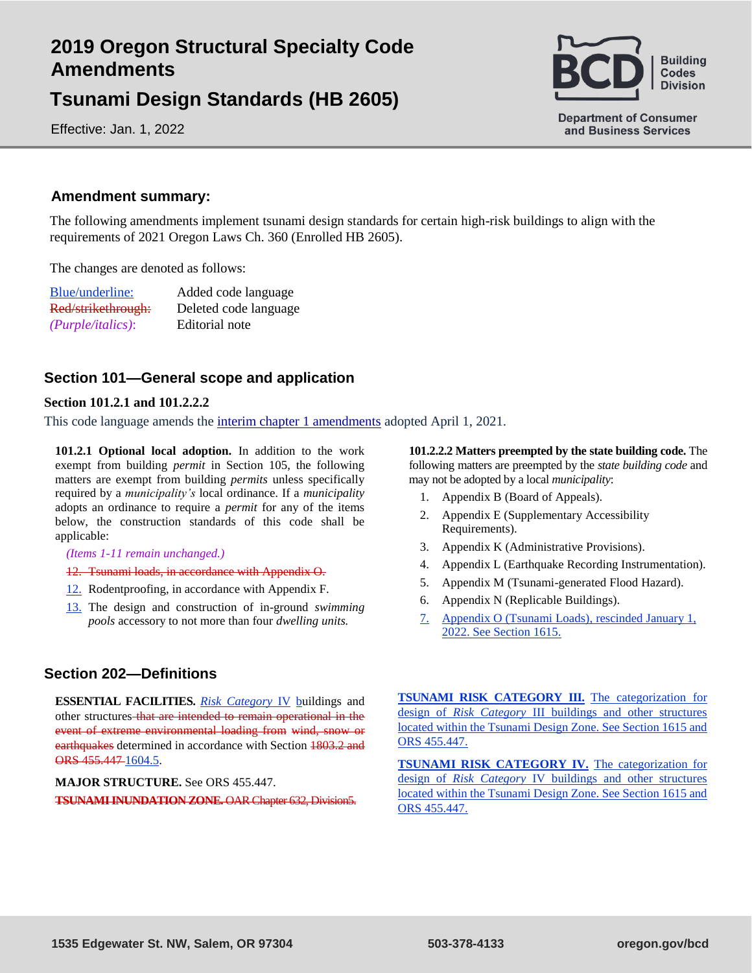# **2019 Oregon Structural Specialty Code Amendments**

**Tsunami Design Standards (HB 2605)**

Effective: Jan. 1, 2022



## **Amendment summary:**

The following amendments implement tsunami design standards for certain high-risk buildings to align with the requirements of 2021 Oregon Laws Ch. 360 (Enrolled HB 2605).

The changes are denoted as follows:

| Blue/underline:      | Added code language   |
|----------------------|-----------------------|
| Red/strikethrough:   | Deleted code language |
| $(Purple/italics)$ : | Editorial note        |

# **Section 101—General scope and application**

## **Section 101.2.1 and 101.2.2.2**

This code language amends the [interim chapter 1 amendments](https://www.oregon.gov/bcd/codes-stand/Documents/19ossc-ch1-amendments.pdf) adopted April 1, 2021.

**101.2.1 Optional local adoption.** In addition to the work exempt from building *permit* in Section 105, the following matters are exempt from building *permits* unless specifically required by a *municipality's* local ordinance. If a *municipality* adopts an ordinance to require a *permit* for any of the items below, the construction standards of this code shall be applicable:

#### *(Items 1-11 remain unchanged.)*

- 12. Tsunami loads, in accordance with Appendix O.
- 12. Rodentproofing, in accordance with Appendix F.
- 13. The design and construction of in-ground *swimming pools* accessory to not more than four *dwelling units.*

## **Section 202—Definitions**

**ESSENTIAL FACILITIES.** *Risk Category* IV buildings and other structures that are intended to remain operational in the event of extreme environmental loading from wind, snow or earthquakes determined in accordance with Section 1803.2 and ORS 455.447 1604.5.

## **MAJOR STRUCTURE.** See ORS 455.447.

**TSUNAMI INUNDATION ZONE.** OAR Chapter 632, Division5.

**101.2.2.2 Matters preempted by the state building code.** The following matters are preempted by the *state building code* and may not be adopted by a local *municipality*:

- 1. Appendix B (Board of Appeals).
- 2. Appendix E (Supplementary Accessibility Requirements).
- 3. Appendix K (Administrative Provisions).
- 4. Appendix L (Earthquake Recording Instrumentation).
- 5. Appendix M (Tsunami-generated Flood Hazard).
- 6. Appendix N (Replicable Buildings).
- 7. Appendix O (Tsunami Loads), rescinded January 1, 2022. See Section 1615.

**TSUNAMI RISK CATEGORY III.** The categorization for design of *Risk Category* III buildings and other structures located within the Tsunami Design Zone. See Section 1615 and ORS 455.447.

**TSUNAMI RISK CATEGORY IV.** The categorization for design of *Risk Category* IV buildings and other structures located within the Tsunami Design Zone. See Section 1615 and ORS 455.447.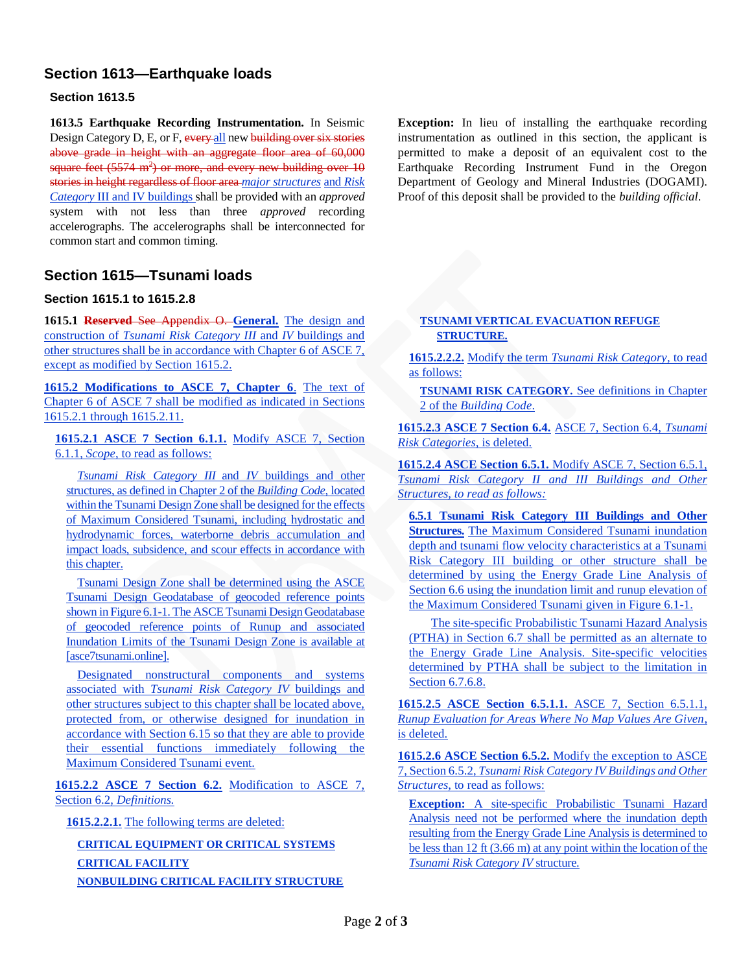# **Section 1613—Earthquake loads**

## **Section 1613.5**

**1613.5 Earthquake Recording Instrumentation.** In Seismic Design Category D, E, or F, every all new building over six stories above grade in height with an aggregate floor area of 60,000 square feet  $(5574 \text{ m}^2)$  or more, and every new building over  $10$ stories in height regardless of floor area *major structures* and *Risk Category* III and IV buildings shall be provided with an *approved*  system with not less than three *approved* recording accelerographs. The accelerographs shall be interconnected for common start and common timing.

# **Section 1615—Tsunami loads**

## **Section 1615.1 to 1615.2.8**

**1615.1 Reserved** See Appendix O. **General.** The design and construction of *Tsunami Risk Category III* and *IV* buildings and other structures shall be in accordance with Chapter 6 of ASCE 7, except as modified by Section 1615.2.

**1615.2 Modifications to ASCE 7, Chapter 6**. The text of Chapter 6 of ASCE 7 shall be modified as indicated in Sections 1615.2.1 through 1615.2.11.

**1615.2.1 ASCE 7 Section 6.1.1.** Modify ASCE 7, Section 6.1.1, *Scope*, to read as follows:

*Tsunami Risk Category III* and *IV* buildings and other structures, as defined in Chapter 2 of the *Building Code*, located within the Tsunami Design Zone shall be designed for the effects of Maximum Considered Tsunami, including hydrostatic and hydrodynamic forces, waterborne debris accumulation and impact loads, subsidence, and scour effects in accordance with this chapter.

Tsunami Design Zone shall be determined using the ASCE Tsunami Design Geodatabase of geocoded reference points shown in Figure 6.1-1. The ASCE Tsunami Design Geodatabase of geocoded reference points of Runup and associated Inundation Limits of the Tsunami Design Zone is available at [asce7tsunami.online].

Designated nonstructural components and systems associated with *Tsunami Risk Category IV* buildings and other structures subject to this chapter shall be located above, protected from, or otherwise designed for inundation in accordance with Section 6.15 so that they are able to provide their essential functions immediately following the Maximum Considered Tsunami event.

**1615.2.2 ASCE 7 Section 6.2.** Modification to ASCE 7, Section 6.2, *Definitions.*

**1615.2.2.1.** The following terms are deleted:

**CRITICAL EQUIPMENT OR CRITICAL SYSTEMS CRITICAL FACILITY NONBUILDING CRITICAL FACILITY STRUCTURE** **Exception:** In lieu of installing the earthquake recording instrumentation as outlined in this section, the applicant is permitted to make a deposit of an equivalent cost to the Earthquake Recording Instrument Fund in the Oregon Department of Geology and Mineral Industries (DOGAMI). Proof of this deposit shall be provided to the *building official*.

#### **TSUNAMI VERTICAL EVACUATION REFUGE STRUCTURE.**

**1615.2.2.2.** Modify the term *Tsunami Risk Category*, to read as follows:

**TSUNAMI RISK CATEGORY.** See definitions in Chapter 2 of the *Building Code*.

**1615.2.3 ASCE 7 Section 6.4.** ASCE 7, Section 6.4, *Tsunami Risk Categories,* is deleted.

**1615.2.4 ASCE Section 6.5.1.** Modify ASCE 7, Section 6.5.1, *Tsunami Risk Category II and III Buildings and Other Structures, to read as follows:*

**6.5.1 Tsunami Risk Category III Buildings and Other Structures.** The Maximum Considered Tsunami inundation depth and tsunami flow velocity characteristics at a Tsunami Risk Category III building or other structure shall be determined by using the Energy Grade Line Analysis of Section 6.6 using the inundation limit and runup elevation of the Maximum Considered Tsunami given in Figure 6.1-1.

The site-specific Probabilistic Tsunami Hazard Analysis (PTHA) in Section 6.7 shall be permitted as an alternate to the Energy Grade Line Analysis. Site-specific velocities determined by PTHA shall be subject to the limitation in Section 6.7.6.8.

**1615.2.5 ASCE Section 6.5.1.1.** ASCE 7, Section 6.5.1.1, *Runup Evaluation for Areas Where No Map Values Are Given*, is deleted.

**1615.2.6 ASCE Section 6.5.2.** Modify the exception to ASCE 7, Section 6.5.2, *Tsunami Risk Category IV Buildings and Other Structures*, to read as follows:

**Exception:** A site-specific Probabilistic Tsunami Hazard Analysis need not be performed where the inundation depth resulting from the Energy Grade Line Analysis is determined to be less than 12 ft (3.66 m) at any point within the location of the *Tsunami Risk Category IV* structure.